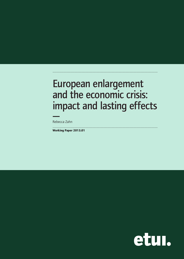# European enlargement and the economic crisis: impact and lasting effects

.....................................................................................................................................

.....................................................................................................................................

—Rebecca Zahn

**Working Paper 2013.01**

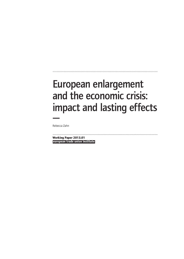# European enlargement and the economic crisis: impact and lasting effects —

.....................................................................................................................................

Rebecca Zahn

**european trade union institute** ..................................................................................................................................... **Working Paper 2013.01**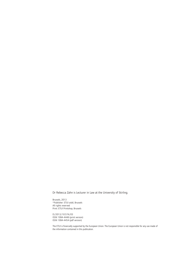Dr Rebecca Zahn is Lecturer in Law at the University of Stirling.

Brussels, 2013 ©Publisher: ETUI aisbl, Brussels All rights reserved Print: ETUI Printshop, Brussels

D/2013/10.574/03 ISSN 1994-4446 (print version) ISSN 1994-4454 (pdf version)

The ETUI is financially supported by the European Union. The European Union is not responsible for any use made of the information contained in this publication.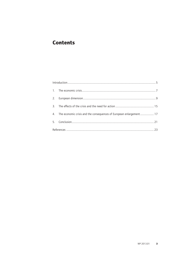#### **Contents**

| 4. The economic crisis and the consequences of European enlargement 17                                                                                                                                                |  |  |
|-----------------------------------------------------------------------------------------------------------------------------------------------------------------------------------------------------------------------|--|--|
|                                                                                                                                                                                                                       |  |  |
| مال من المسين المسين المسين المسين المسين المسين المسين المسين المسين المسين المسين المسين المسين .<br>ويحتل المسين المسين المسين المسين المسين المسين المسين المسين المسين المسين المسين المسين المسين المسين المسين |  |  |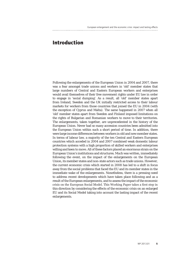#### **Introduction**

Following the enlargements of the European Union in 2004 and 2007, there was a fear amongst trade unions and workers in 'old' member states that large numbers of Central and Eastern European workers and enterprises would avail themselves of their free movement rights under EU law in order to engage in 'social dumping'. As a result, all 'old' member states apart from Ireland, Sweden and the UK initially restricted access to their labour markets for workers from those countries that joined the EU in 2004 (with the exception of Cyprus and Malta). The same happened in 2007 when all 'old' member states apart from Sweden and Finland imposed limitations on the rights of Bulgarian and Romanian workers to move to their territories. The enlargements, taken together, are unprecedented in the history of the European Union. Never had so many accession countries been admitted into the European Union within such a short period of time. In addition, there were large income differences between workers in old and new member states. In terms of labour law, a majority of the ten Central and Eastern European countries which acceded in 2004 and 2007 combined weak domestic labour protection systems with a high proportion of skilled workers and enterprises willing and keen to move. All of these factors placed an enormous strain on the European Union's institutions and structures. Much was written, immediately following the event, on the impact of the enlargements on the European Union, its member states and non-state actors such as trade unions. However, the current economic crisis which started in 2008 has led to a shift in focus away from the social problems that faced the EU and its member states in the immediate wake of the enlargements. Nonetheless, there is a pressing need to address recent developments which have taken place following and as a result of the European enlargements, and to assess the impact of the economic crisis on the European Social Model. This Working Paper takes a first step in this direction by considering the effects of the economic crisis on an enlarged EU and its Social Model taking into account the lasting impact of the recent enlargements.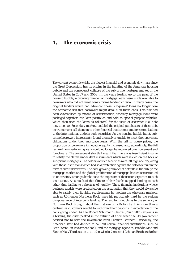## **1. The economic crisis**

The current economic crisis, the biggest financial and economic downturn since the Great Depression, has its origins in the bursting of the American housing bubble and the consequent collapse of the sub-prime mortgage market in the United States in 2007 and 2008. In the years leading up to the peak of the housing bubble, a growing number of mortgage loans were made available to borrowers who did not meet banks' prime lending criteria. In many cases, the original lenders which had advanced these 'sub-prime' loans no longer bore the economic risk that borrowers might default on their loans. This risk had been externalised by means of securitisation, whereby mortgage loans were packaged together into loan portfolios and sold to special purpose vehicles, which then used the loans as collateral for the issue of securities (i.e. debt instruments). Secondary markets enabled the original purchasers of these debt instruments to sell them on to other financial institutions and investors, leading to the international trade in such securities. As the housing bubble burst, subprime borrowers increasingly found themselves unable to meet the repayment obligations under their mortgage loans. With the fall in house prices, the proportion of borrowers in negative equity increased and, accordingly, the full value of non-performing loans could no longer be recovered by enforcement and foreclosure. The consequent shortfall meant that there was insufficient income to satisfy the claims under debt instruments which were issued on the back of sub-prime mortgages. The holders of such securities were left high and dry, along with those institutions which had sold protection against the risk of default in the form of credit derivatives. The ever-growing number of defaults in the sub-prime mortgage market and the global proliferation of mortgage-backed securities led to uncertainty amongst banks as to the exposure of their counterparties to such toxic assets. As a result of this climate of fear, banks stopped lending to each other, thus leading to a shortage of liquidity. Those financial institutions whose business models were predicated on the assumption that they would always be able to satisfy their liquidity requirements by tapping the wholesale markets, such as UK lender Northern Rock, were hit particularly hard by the sudden disappearance of interbank lending. The resultant doubts as to the solvency of Northern Rock brought about the first run on a British bank in more than a century, as customers sought to withdraw their deposits in expectation of the bank going under. As the Robert Schumann Centre (Paulo 2011) explains in a briefing, the crisis peaked in the autumn of 2008 when the US government decided not to save the investment bank Lehman Brothers. Previously, the American state had decided to bail out several financial institutions, such as Bear Sterns, an investment bank, and the mortgage agencies, Freddie Mac and Fannie Mae. The decision to do otherwise in the case of Lehman Brothers further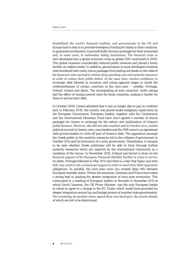destabilised the world's financial markets, and governments in the US and Europe had to step in to provide emergency funding for banks in their countries, to guarantee investments, to provide hefty stimulus packages for their economies and, in some cases, to nationalise failing institutions. The financial crisis in turn developed into a global economic crisis as global GDP contracted in 2009. This global recession considerably reduced public revenues and placed a heavy burden on welfare states. In addition, governments in most developed countries were burdened with costly rescue packages from bailing out banks in the wake of the financial crisis and had to initiate deep spending cuts and austerity measures in order to reduce their public deficit. At the same time, market confidence in sovereign debt faltered as investors and rating agencies began to doubt the creditworthiness of certain countries in the euro-zone – notably, Portugal, Ireland, Greece and Spain. The downgrading of such countries' credit ratings had the effect of raising interest rates for those countries, making it harder for them to service their debt.

In October 2009, Greece admitted that it was no longer able to pay its creditors and, in February 2010, the country was placed under budgetary supervision by the European Commission. European leaders, together with the Commission and the International Monetary Fund have since agreed a number of rescue packages for Greece in exchange for the reform and stabilisation of Greece's public finances. However, this did not calm markets and by October 2011, amidst political turmoil in Greece, euro-zone leaders and the IMF came to an agreement with private lenders to write off part of Greece's debt. The opposition amongst the Greek public to the austerity measures led to the collapse of government in October 2011 and the formation of a unity government. Nonetheless, it remains to be seen whether Greek politicians will be able to force through further austerity measures which are required by the international community as a condition of the rescue. In November 2010, Ireland was forced to draw on the financial support of the European Financial Stability Facility in order to service its debts. Portugal followed in May 2011 and there is a fear that Spain and even Italy may need to rely on financial support in order to meet their debt repayment obligations. In parallel, the euro-zone crisis has created deep rifts between European member states. Within the eurozone, Germany and France have taken a strong lead in pushing for greater integration of euro-zone economies. This culminated in a meeting of European leaders in Brussels in December 2011 at which David Cameron, the UK Prime Minister, was the only European leader to refuse to agree to a change in the EU Treaty which would have provided for deeper integration around tax and budget powers of member state governments. The remaining 26 member states signed their own fiscal pact, the precise details of which are yet to be determined.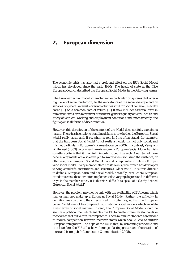### **2. European dimension**

The economic crisis has also had a profound effect on the EU's Social Model which has developed since the early 1990s. The heads of state at the Nice European Council described the European Social Model in the following terms:

'The European social model, characterized in particular by systems that offer a high level of social protection, by the importance of the social dialogue and by services of general interest covering activities vital for social cohesion, is today based […] on a common core of values. […] It now includes essential texts in numerous areas: free movement of workers, gender equality at work, health and safety of workers, working and employment conditions and, more recently, the fight against all forms of discrimination.'

However, this description of the content of the Model does not fully explain its nature. There has been a long-standing debate as to whether the European Social Model really exists and, if so, what its role is. It is often stated, for example, that the European Social Model 'is not really a model, it is not only social, and it is not particularly European' (Diamantopoulou 2003). In contrast, Vaughan-Whitehead (2003) recognises the existence of a European Social Model but lists countless criteria that it must fulfil in order to count as such. A number of more general arguments are also often put forward when discussing the existence, or otherwise, of a European Social Model. First, it is impossible to define a Europewide social model. Every member state has its own system which has developed varying standards, institutions and structures (Alber 2006). It is thus difficult to define a European norm and Social Model. Secondly, even where European standards exist, these are often implemented to varying degrees and in different ways in the member states. It is therefore difficult to speak of a clearly defined 'European Social Model'.

However, the problem may not lie only with the availability of EU norms which may or may not make up a European Social Model. Rather, the difficulty in definition may be due to the criteria used. It is often argued that the European Social Model cannot be compared with national social models which regulate a vast array of social matters. Instead, the European Social Model should be seen as a political tool which enables the EU to create minimum standards in those areas that fall within its competence. These minimum standards are meant to reduce competition between member states which should lead to further European integration. The hope of the EU is that, by combining economic and social welfare, the EU will achieve 'stronger, lasting growth and the creation of more and better jobs' (Commission Communication 2005).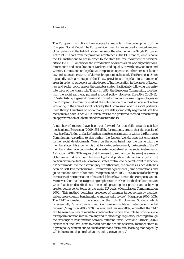The European institutions have adopted a key role in the development of the European Social Model. The European Community has enjoyed a limited amount of competence in the field of labour law since the adoption of the Single European Act in 1986. Apart from the provisions contained in the EU Treaties, which enable the EU institutions to act in order to facilitate the free movement of workers, article 153 TFEU allows for the introduction of directives on working conditions, information and consultation of workers, and equality at work between men and women. Limitations on legislative competence operate in other areas of labour law and, as an alternative, soft law techniques must be used. The European Union repeatedly took advantage of the Treaty provisions to legislate in a number of areas in order to achieve a certain degree of harmonisation in the areas of labour law and social policy across the member states. Particularly following the entry into force of the Maastricht Treaty in 1993, the European Commission, together with the social partners, pursued a social policy. However, Directive 2002/14/ EC establishing a general framework for informing and consulting employees in the European Community marked the culmination of almost a decade of active legislating in the area of social policy by the Commission and the social partners. Even though Directives on social policy are still sporadically negotiated, soft law mechanisms have, since 2002, taken over as the preferred method for achieving an approximation of labour standards across the EU.

A number of reasons have been put forward for this shift towards soft-law mechanisms. Bercusson (2009: 554-555), for example, argues that the paucity of new 'hard law' is due to a lack of enthusiasm for social measures within the European Commission. According to this author, the Lisbon Agenda does not encourage further social developments. Weiss, on the other hand, lays the blame with the member states. His argument is that, following enlargement, the interests of the 27 member states have become too diverse to negotiate effective social instruments. Ashiagbor (2004: 313) argues that 'the resort to soft law [can be seen] as a means of finding a middle ground between legal and political interventions, [which is] particularly important whilst member states continue to be so reluctant to sanction further inroads into their sovereignty.' In either case, the emphasis since 2002 has been on soft law mechanisms – 'framework agreements, joint declarations and guidelines and codes of conduct' (Marginson 2006: 103) – as a means of achieving some sort of harmonisation of national labour laws across the European Union. Moreover, there has been a growing emphasis on the Open Method of Coordination which has been described as a 'means of spreading best practice and achieving greater convergence towards the main EU goals' (Commission Communication 2002). This method 'combines processes of common target-setting by member states, cross-country benchmarking and periodic review' (Marginson 2006: 103). The OMC originated in the context of the EU's Employment Strategy, which is essentially 'a coordinated and Commission-facilitated inter-governmental process' (Marginson 2006: 103). Barnard and Deakin (2002) argue that the OMC can be seen as a way of regulatory intervention which attempts to provide space for experimentation in rule-making and to encourage regulatory learning through the exchange of best practice between different levels. Scott and Trubek (2002) explain that 'the OMC aims to coordinate the actions of several member states in a given policy domain and to create conditions for mutual learning that hopefully will induce some degree of voluntary policy convergence.'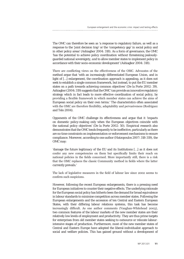The OMC can therefore be seen as 'a response to regulatory failure, as well as a response to the 'joint decision trap' or the 'competency gap' in social policy and in other policy areas' (Ashiagbor 2004: 318). As a form of governance, the OMC 'has the potential to achieve policy coordination without threatening jealouslyguarded national sovereignty, *and* to allow member states to implement policy in accordance with their socio-economic development' (Ashiagbor 2004: 318).

There are conflicting views on the effectiveness of the OMC. Advocates of the method argue that 'with an increasingly differentiated European Union, and in light of […] enlargement, the coordination approach is appealing, as it does not seek to establish a single common framework, but instead, to put the EU member states on a path towards achieving common objectives' (De la Porte 2002: 39). Ashiagbor (2004: 319) suggests that the OMC 'can provide an innovative regulatory strategy which in fact leads to more effective coordination of social policy, by providing a flexible framework in which member states can achieve the aims of European social policy on their own terms.' The characteristics often associated with the OMC are therefore flexibility, adaptability and pervasiveness (Rodriguez and Telo 2004).

Opponents of the OMC challenge its effectiveness and argue that it 'impacts on domestic policy-making only when the European objectives coincide with the national policy objectives' (De la Porte 2002: 50). Empirical research also demonstrates that the OMC tends frequently to be ineffective, particularly as there are no time constraints on implementation or enforcement mechanisms to ensure compliance. Moreover, according to one author (Hatzopoulos 2007: 318-319), the OMC may:

'damage the future legitimacy of the EU and its Institutions […] as it does not confer any new competencies on them but specifically limits their reach on national policies in the fields concerned. More importantly still, there is a risk that the OMC replaces the classic Community method in fields where the latter currently prevails.'

The lack of legislative measures in the field of labour law since 2002 seems to confirm such suspicions.

However, following the recent European enlargements, there is a pressing need for European initiatives to counter their negative effects. The underlying rationale for the European social policy has hitherto been the demand for broad equivalence in labour standards to minimise competition across member states. Following the European enlargements and the accession of ten Central and Eastern European States, with their differing labour relations systems, this task has become increasingly difficult. As one author comments (Vaughan-Whitehead 2003), two common features of the labour markets of the new member states are their relatively low levels of employment and productivity. They are thus prime targets for enterprises from old member states seeking to outsource or relocate labourintensive stages of production. Furthermore, most of the new member states of Central and Eastern Europe have adopted the liberal-individualist approach to social and welfare policies. This has gained ground without a development of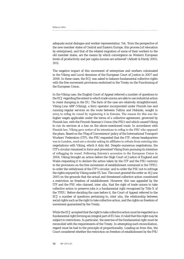adequate social dialogue and worker representation. Yet, 'from the perspective of the new member states of Central and Eastern Europe, this process [of relocation by enterprises], and that of the related migration of some of their workers to the old member states, are the means by which convergence on Western European levels of productivity and per capita income are achieved' (Adnett & Hardy 2005: 201).

The negative impact of this movement of enterprises and workers culminated in the *Viking* and *Laval* decisions of the European Court of Justice in 2007 and 2008. In these cases, the ECJ was asked to balance fundamental collective rights with the free movement provisions enshrined in the Treaty on the Functioning of the European Union.

In the *Viking* case, the English Court of Appeal referred a number of questions to the ECJ regarding the extent to which trade unions are able to use industrial action to resist dumping in the EU. The facts of the case are relatively straightforward. Viking Line ABP (Viking), a ferry operator incorporated under Finnish law and running regular services on the route between Tallinn and Helsinki, sought in 2003 to reflag its vessel by registering it in Estonia. The reason for this was the higher wages applicable under the terms of a collective agreement, governed by Finnish law, with the Finnish Seaman's Union (the FSU) and which caused Viking to run its services at a loss on the above-mentioned route. In accordance with Finnish law, Viking gave notice of its intentions to reflag to the FSU who opposed the plans. Based on the 'Flag of Convenience' policy of the International Transport Workers' Federation (ITF), the FSU requested that the ITF, whose headquarters was in London, send out a circular asking its affiliates to refrain from entering into negotiations with Viking, which it duly did. Despite numerous negotiations, the ITF's circular remained in force and prevented Viking from pursuing its intention of reflagging its vessel. Following Estonia's accession to the European Union in 2004, Viking brought an action before the High Court of Justice of England and Wales requesting it to declare the action taken by the ITF and the FSU contrary to the provisions on the free movement of establishment contained in the TFEU; to order the withdrawal of the ITF's circular; and to order the FSU not to infringe the rights enjoyed by Viking under EU law. The court granted the order on 16 June 2005 on the grounds that the actual and threatened collective action constituted a restriction on freedom of establishment. However, this was appealed by the ITF and the FSU who claimed, *inter alia*, that the right of trade unions to take collective action to preserve jobs is a fundamental right recognised by Title X of the TFEU. Before deciding the case before it, the Court of Appeal referred to the ECJ a number of questions pertaining to, *inter alia*, the relationship between social rights such as the right to take collective action, and the rights on freedom of movement guaranteed by the Treaty.

While the ECJ accepted that the right to take collective action must be regarded as a fundamental right forming an integral part of EU law, it ruled that this right may be subject to restrictions. In particular, the exercise of the fundamental right must be reconciled with the requirements of the Treaty. In attempting such reconciliation, regard must be had to the principle of proportionality. Leading on from this, the Court considered whether the restriction on freedom of establishment by the FSU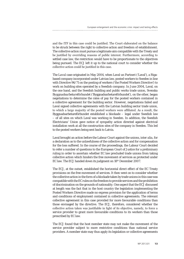and the ITF in this case could be justified. The Court elaborated on the balance to be struck between the right to collective action and freedom of establishment. The collective action must pursue a legitimate aim compatible with the Treaty and be justified by overriding reasons of public interest. Furthermore, according to settled case law, the restriction would have to be proportionate to the objectives being pursued. The ECJ left it up to the national court to consider whether the collective action could be justified in this case.

The *Laval* case originated in May 2004, when Laval un Partneri ('Laval'), a Rigabased company incorporated under Latvian law, posted workers to Sweden in line with Directive 96/71 on the posting of workers ('the Posted Workers Directive') to work on building sites operated by a Swedish company. In June 2004, Laval, on the one hand, and the Swedish building and public works trade union, *Svenska Byggnadsarbetareförbundet* ('Byggnadsarbetareförbundet'), on the other, began negotiations to determine the rates of pay for the posted workers contained in a collective agreement for the building sector. However, negotiations failed and Laval signed collective agreements with the Latvian building sector trade union, to which a large majority of the posted workers were affiliated. As a result, the Byggnadsarbetareförbundet established a blockade – legal under Swedish law – of all sites on which Laval was working in Sweden. In addition, the Swedish Electricians' Union gave notice of sympathy action directed against electrical installation work at all the construction sites of the company in Sweden. This led to the posted workers being sent back to Latvia.

Laval brought an action before the Labour Court against the unions, *inter alia*, for a declaration as to the unlawfulness of the collective action and for compensation for the loss suffered. In the course of the proceedings, the Labour Court decided to refer a number of questions to the European Court of Justice for a preliminary ruling in order to ascertain whether EC law precluded trade unions from taking collective action which hinders the free movement of services as protected under EC law. The ECJ handed down its judgment on 18th December 2007.

The ECJ, at the outset, established the horizontal direct effect of the EC Treaty provisions on the free movement of services. It then went on to consider whether the collective action in the form of a blockade taken by trade unions in this case was compatible with the EC rules on the freedom to provide services and the prohibition of discrimination on the grounds of nationality. One aspect that the ECJ discussed at length was the fact that in the host country the legislation implementing the Posted Workers Directive made no express provision for the application of terms and conditions of employment contained in collective agreements. The relevant collective agreement in this case provided for more favourable conditions than those envisaged by the directive. The ECJ, therefore, considered whether the collective action taken was justifiable in light of its objective, namely, to force a service provider to grant more favourable conditions to its workers than those prescribed by EC law.

The ECJ found that the host member state may not make the movement of the service provider subject to more restrictive conditions than national service providers. A member state may thus apply its legislation or collective agreements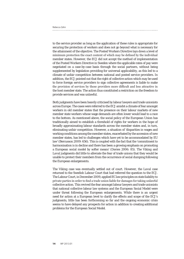to the service provider as long as the application of these rules is appropriate for securing the protection of workers and does not go beyond what is necessary for the attainment of the objective. The Posted Workers Directive lays down a level of minimum protection the exact content of which may be defined by the individual member states. However, the ECJ did not accept the method of implementation of the Posted Workers Directive in Sweden where the applicable rates of pay were negotiated on a case-by-case basis through the social partners, without being supplemented by legislation providing for universal applicability, as this led to a climate of unfair competition between national and posted service providers. In addition, the ECJ pointed out that the right of collective action which may be used to force foreign service providers to sign collective agreements is liable to make the provision of services by those providers more difficult and less attractive in the host member state. The action thus constituted a restriction on the freedom to provide services and was unlawful.

Both judgments have been heavily criticised by labour lawyers and trade unionists across Europe. The cases were referred to the ECJ amidst a climate of fear amongst workers in old member states that the presence on their labour markets of new member state workers whose wage demands are often lower would lead to a race to the bottom. As mentioned above, the social policy of the European Union has traditionally aimed to establish a threshold of rights for workers in the hope of broadly approximating labour standards across the member states and, in turn, eliminating unfair competition. However, a situation of 'disparities in wages and working conditions among the member states, exacerbated by the accession of new member states, has led to challenges which have yet to be accommodated by EU law' (Bercusson 2009: 656). This is coupled with the fact that the 'commitment to harmonisation is in decline and there has been a growing emphasis on promoting a European social model by softer means' (Davies 2006: 85). The *Viking* and Laval judgments did little to alleviate the fear of trade unions that they would be unable to protect their members from the occurrence of social dumping following the European enlargements.

The *Viking* case was eventually settled out of court. However, the *Laval* case returned to the Swedish Labour Court that had referred the question to the ECJ. The Labour Court, in December 2009, applied EC law principles on state liability to private parties in order to find a trade union liable for damages for taking unlawful collective action. This revived the fear amongst labour lawyers and trade unionists that national collective labour law systems and the European Social Model were under threat following the European enlargements. While there is an urgent need for action at a European level to clarify the effects and scope of the ECJ's judgments, little has been forthcoming so far and the ongoing economic crisis seems to have delayed any prospects for action in addition to creating additional problems for the European Social Model.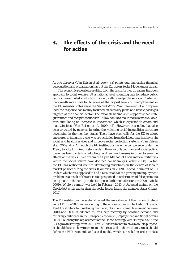#### **3. The effects of the crisis and the need for action**

As one observer (Van Reisen *et al.* 2009: 44) points out, 'increasing financial deregulation and privatisation has put the European Social Model under threat. [...] The economic recession resulting from the crisis further threatens Europe's approach to social welfare.' At a national level, spending cuts to reduce public deficits have entailed a reduction in social, welfare and public services. Continued low growth rates have led to some of the highest levels of unemployment in the EU member states since the Second World War. However, at a European level the response has mainly focussed on recovery plans and rescue packages targeted at the financial sector. The rationale behind such support is that 'state guarantees and recapitalisations will allow banks to make more loans available, thus stimulating an increase in investment, which is expected to create and maintain jobs' (Van Reisen *et al.* 2009: 44). However, this policy has also been criticised by many as ignoring the widening social inequalities which are developing in the member states. There have been calls for the EU to adopt 'measures to integrate those who are excluded from the labour market, invest in social and health services and improve social protection systems' (Van Reisen *et al.* 2009: 44). Although the EU institutions have the competence under the Treaty to adopt minimum standards in the area of labour law and social policy, there has been no talk of adopting hard law mechanisms in order to ease the effects of the crisis. Even within the Open Method of Coordination, initiatives within the social sphere have declined considerably (Pochet 2008). So far, the EU has restricted itself to 'developing guidelines on the design of labour market policies during the crisis' (Commission 2009). Indeed, a summit of EU leaders which was supposed to find a resolution for the growing unemployment problem as a result of the crisis was postponed in order to avoid false promises being made in the run-up to the European Parliament elections in 2009 (Labaki 2009). While a summit was held in February 2010, it focussed mainly on the Greek debt crisis rather than the social issues facing the member states (Illmer 2010).

The EU institutions have also stressed the importance of the Lisbon Strategy and of Europe 2020 in responding to the economic crisis. The Lisbon Strategy, 'the EU's strategy for creating growth and jobs in a sustainable manner' between 2000 and 2010, if adhered to, 'will help recovery by boosting demand and restoring confidence in the European economy' (Employment and Social Affairs 2011). Following the replacement of the Lisbon Strategy with 'Europe 2020', the EU's growth strategy from 2010 until 2020 was meant to have a double purpose: 'it should focus on how to overcome the crisis, and in the medium term, it should define the EU's economic and social model, which is needed in order to face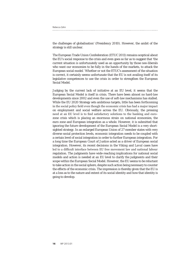| Rebecca Zahn |  |  |
|--------------|--|--|
|              |  |  |

the challenges of globalisation' (Presidency 2010). However, the ambit of the strategy is still unclear.

The European Trade Union Confederation (ETUC 2011) remains sceptical about the EU's social response to the crisis and even goes so far as to suggest that 'the current situation is unfortunately used as an opportunity by those neo-liberals who want our economies to be fully in the hands of the markets, to attack the European social model.' Whether or not the ETUC's assessment of the situation is correct, it certainly seems unfortunate that the EU is not availing itself of its legislative competences to use the crisis in order to strengthen the European Social Model.

Judging by the current lack of initiative at an EU level, it seems that the European Social Model is itself in crisis. There have been almost no hard-law developments since 2002 and even the use of soft-law mechanisms has stalled. While the EU 2020 Strategy sets ambitious targets, little has been forthcoming in the social policy field even though the economic crisis has had a major impact on employment and social welfare across the EU. Obviously, the pressing need at an EU level is to find satisfactory solutions to the banking and eurozone crisis which is placing an enormous strain on national economies, the euro zone and European integration as a whole. However, it is submitted that ignoring the future development of the European Social Model is a very shortsighted strategy. In an enlarged European Union of 27 member states with very diverse social protection levels, economic integration needs to be coupled with a certain level of social integration in order to further European integration. For a long time the European Court of Justice acted as a driver of European social integration. However, its recent decisions in the *Viking* and *Laval* cases have led to a difficult interface between EU free movement law and national labour regulation. The judgments have wide-reaching implications for national social models and action is needed at an EU level to clarify the judgments and their scope within the European Social Model. However, the EU seems to be reluctant to take action in the social sphere, despite such action being necessary to counter the effects of the economic crisis. The impression is thereby given that the EU is at a loss as to the nature and extent of its social identity and how that identity is going to develop.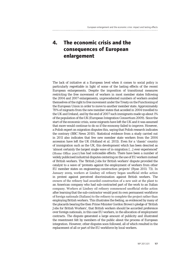## **4. The economic crisis and the consequences of European enlargement**

The lack of initiative at a European level when it comes to social policy is particularly regrettable in light of some of the lasting effects of the recent European enlargements. Despite the imposition of transitional measures restricting the free movement of workers in most member states following the 2004 and 2007 enlargements, unprecedented numbers of workers availed themselves of the right to free movement under the Treaty on the Functioning of the European Union in order to move to another member state. Approximately 70% of migrants from the new member states that acceded in 2004 travelled to the UK and Ireland, and by the end of 2007 such immigrants made up about 1% of the population of the UK (European Integration Consortium 2009). Since the start of the economic crisis, some migrants have left the UK and it was assumed that more would continue to do so if the economy failed to improve. However, a Polish expert on migration disputes this, saying that Polish research indicates the contrary (BBC News 2010). Statistical evidence from a study carried out in 2011 also indicates that few new member state workers from the 2004 accession have left the UK (Holland *et al.* 2011). Even for a 'classic' country of immigration such as the UK, this development which has been descried as 'almost certainly the largest single wave of in-migration […] ever experienced' (Home Office 2007) has had noticeable effects. There have been a number of widely publicised industrial disputes centering on the use of EU workers instead of British workers. The 'British Jobs for British workers' dispute provided the catalyst to a wave of 'protests against the employment of workers from other EU member states on engineering construction projects' (Ryan 2011: 73). In January 2009, workers at Lindsey oil refinery began unofficial strike action in protest against perceived discrimination against British workers. The owners of the refinery had awarded construction of a new unit at the plant to an American company who had sub-contracted part of the work to an Italian company. Workers at Lindsey oil refinery commenced unofficial strike action after learning that the sub-contractor would post its own permanent workforce of foreign nationals (Italians) to the refinery to complete the project rather than employing British workers. This illustrates the feeling, as evidenced by many of the placards bearing the then Prime Minister Gordon Brown's pledge of 'British Jobs for British Workers', that British workers should be accorded preference over foreign nationals, in this case EU workers, in the allocation of employment contracts. The dispute generated a large amount of publicity and illustrated the resentment felt by members of the public about the process of European integration. However, other disputes soon followed, all of which resulted in the replacement of all or part of the EU workforce by local workers.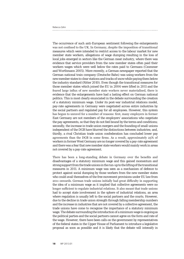The occurrence of such anti-European sentiment following the enlargements was not confined to the UK. In Germany, despite the imposition of transitional measures which were intended to restrict access to the labour market for new member state workers, allegations of wage dumping resulting in the loss of local jobs emerged in sectors like the German meat industry, where there was evidence that service providers from the new member states often paid their workers wages which were well below the rates paid to Germans (Czommer and Worthmann 2005). More recently, a German newspaper reported that the German national train company (Deutsche Bahn) was using workers from the new member states to clear stations and tracks of snow while paying them below the industry standard (Ritter 2010). Even though the transitional measures for those member states which joined the EU in 2004 were lifted in 2011 and the feared large influx of new member state workers never materialised, there is evidence that the enlargements have had a lasting effect on German national politics. This is most clearly enunciated in the debate surrounding the creation of a statutory minimum wage. Under its post-war industrial relations model, pay-rate agreements in Germany were negotiated across entire industries by the social partners and regulated pay for all employees. However, this system has begun to unravel for a number of reasons: first, many employers in former East Germany are not members of the employers' associations who negotiate the pay agreements, so that they do not feel bound by the terms and conditions; secondly, the increase in trade union mergers and the founding of small unions independent of the DGB have blurred the distinctions between industries; and, thirdly, a rival Christian trade union confederation has concluded lower pay agreements than the DGB in some firms. As a result, approximately 25% of workers in former West Germany are no longer covered by a pay-rate agreement and there was a fear that new member state workers would mainly work in areas not covered by a pay-rate agreement.

There has been a long-standing debate in Germany over the benefits and disadvantages of a statutory minimum wage and this gained momentum and strong support from the trade unions in the run-up to the lifting of the transitional measures in 2011. A minimum wage was seen as a mechanism of defence to protect against social dumping by those workers from the new member states who could avail themselves of the free movement provisions under EU law from 2011 onwards. German trade unions initially had great difficulty in supporting the idea of a minimum wage as it implied that collective agreements were no longer sufficient to regulate industrial relations. It also meant that trade unions had to accept state involvement in the sphere of industrial relations, an area where regulation is usually left to the social partners and the courts. However, due to the decline in trade union strength through falling membership numbers and the increase in industries that are not covered by a collective agreement, the trade unions have come to recognise the importance of a statutory minimum wage. The debate surrounding the introduction of a minimum wage is ongoing as the political parties and the social partners cannot agree on the form and rate of the wage. However, there have been calls on the government by representatives of the federal states in the Upper House of Parliament to introduce a legislative proposal as soon as possible and it is likely that the debate will intensify in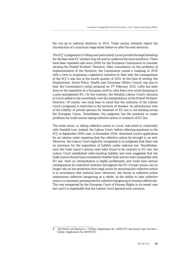the run-up to national elections in 2013. Trade unions certainly expect the introduction of a minimum wage either before or after the next elections.

The ECJ's judgments in *Viking* and particularly *Laval* provide the legal backdrop for the fears that EU workers may be used to undercut the local workforce. There have been repeated calls since 2008 for the European Commission to consider revising the Posted Workers' Directive. After consultation on the problems of implementation of the Directive, the Commission issued a roadmap in 2010 with a view to proposing a legislative initiative to deal with the consequences of the ECJ's case law in the fourth quarter of 2011. At the time of writing, the Employment, Social Policy, Health and Consumer Affairs Council was due to hear the Commission's initial proposal on 17<sup>th</sup> February 2012. Little has been done in the meantime at a European level to calm fears over social dumping in a post-enlargement EU. On the contrary, the Swedish Labour Court's decision in *Laval* added to the uncertainty over the interpretation of the Posted Workers' Directive. Of course, one must bear in mind that the authority of the Labour Court's judgment is restricted to the territory of Sweden. Its adventurous view of the liability of private persons for breaches of EU law is not binding across the European Union. Nonetheless, the judgment has the potential to create problems for trade unions taking collective action in violation of EU law.

The trade union, in taking collective action in *Laval*, had acted in conformity with Swedish Law. Indeed, the Labour Court, before referring questions to the ECJ in September 2005, had, in December 2004, dismissed Laval's application for an interim order requiring that the collective action be brought to an end. Moreover, the Labour Court explicitly recognised in its judgment that there was no provision for the imposition of liability under national law. Nonetheless, once the trade union's actions were later found to be contrary to EU law, the Labour Court established wide-reaching liability and even suggested that the trade unions should have considered whether their actions were compatible with EU law. Such an interpretation is highly problematic and could have serious consequences for industrial relations throughout the EU if trade unions can no longer rely on the protection from legal action by ensuring that collective action is in accordance with national laws. Moreover, this threat to collective action undermines collective bargaining as a whole, as the ability to take collective action is a necessary prerequisite for collective bargaining to function effectively. This was recognised by the European Court of Human Rights in its recent case law<sup>1</sup> and it is regrettable that the Labour Court ignored such concerns.

**<sup>1.</sup>** See *Demir and Baykara v. Turkey* (Application No. 34503/97) and *Enerji Yapi-Yol Sen v. Turkey* (Application No. 68959/01).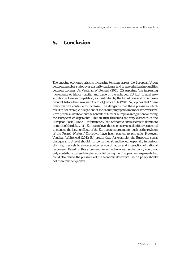#### **5. Conclusion**

The ongoing economic crisis is increasing tensions across the European Union between member states over austerity packages and is exacerbating inequalities between workers. As Vaughan-Whitehead (2011: 52) explains, 'the increasing movements of labour, capital and trade in the enlarged EU […] [create] new situations of wage competition, as illustrated by the *Laval* case and other cases brought before the European Court of Justice.' He (2011: 52) opines that 'these pressures will continue to increase'. The danger is that these pressures which result in, for example, allegations of social dumping by new member state workers, leave people in doubt about the benefits of further European integration following the European enlargements. This in turn threatens the very existence of the European Social Model. Unfortunately, the economic crisis seems to dominate so much of the debate at a European level that necessary social initiatives needed to manage the lasting effects of the European enlargements, such as the revision of the Posted Workers' Directive, have been pushed to one side. However, Vaughan-Whitehead (2011: 54) argues that, for example, 'the European social dialogue at EU level should […] be further strengthened, especially in periods of crisis, precisely to encourage better coordination and interaction of national responses.' Based on this argument, an active European social policy could not only contribute to resolving tensions following the European enlargements but could also relieve the pressures of the economic downturn. Such a policy should not therefore be ignored.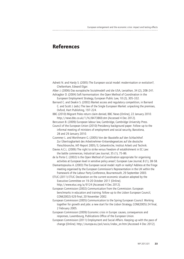#### **References**

Adnett N. and Hardy S. (2005) The European social model: modernisation or evolution?, Cheltenham, Edward Elgar.

Alber J. (2006) Das europäische Sozialmodell und die USA, Leviathan, 34 (2), 208-241. Ashiagbor D. (2004) Soft harmonisation: the Open Method of Coordination in the

European Employment Strategy, European Public Law, 10 (2), 305-332. Barnard C. and Deakin S. (2002) Market access and regulatory competition, in Barnard

C. and Scott J. (eds.) The law of the Single European Market: unpacking the premises, Oxford, Hart Publishing, 197-224.

BBC (2010) Migrant Poles return claim denied, BBC News [Online], 22 January 2010. http://news.bbc.co.uk/1/hi/8473869.stm [Accessed 4 Dec 2012].

Bercusson B. (2009) European labour law, Cambridge, Cambridge University Press. Council of the European Union (2010) Presidency background paper. Follow-up to the informal meeting of ministers of employment and social security, Barcelona, 28 and 29 January 2010.

Czommer L. and Worthmann G. (2005) Von der Baustelle auf den Schlachthof. Zur Übertragbarkeit des Arbeitnehmer-Entsendegesetzes auf die deutsche Fleischbranche, IAT-Report 2005/3, Gelsenkirche, Institut Arbeit und Technik.

Davies A.C.L. (2006) The right to strike versus freedom of establishment in EC Law: the battle commences, Industrial Law Journal, 35 (1), 75-86.

de la Porte C. (2002) Is the Open Method of Coordination appropriate for organising activities at European level in sensitive policy areas?, European Law Journal, 8 (1), 38-58.

Diamantopoulou A. (2003) The European social model: myth or reality? Address at the fringe meeting organised by the European Commission's Representation in the UK within the framework of the Labour Party Conference, Bournemouth, 29 September 2003.

ETUC (2011) ETUC Declaration on the current economic situation adopted by the Executive Committee on 19-20 October 2011 [Online].

http://www.etuc.org/a/9124 [Accessed 4 Dec 2012].

European Commission (2002) Communication from the Commission. European benchmarks in education and training: follow-up to the Lisbon European Council, COM(2002) 629 final, 20 November 2002.

European Commission (2005) Communication to the Spring European Council. Working together for growth and jobs: a new start for the Lisbon Strategy, COM(2005) 24 final, 2 February 2005.

European Commission (2009) Economic crisis in Europe: causes, consequences and responses, Luxembourg, Publications Office of the European Union.

European Commission (2011) Employment and Social Affairs. Keeping up with the pace of change [Online]. http://europa.eu/pol/socio/index\_en.htm [Accessed 4 Dec 2012].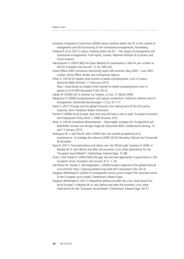| European Integration Consortium (2009) Labour mobility within the EU in the context of |  |
|----------------------------------------------------------------------------------------|--|
| enlargement and the functioning of the transitional arrangements, Nuremberg.           |  |

Holland D. *et al.* (2011) Labour mobility within the EU – The impact of enlargement and transitional arrangements. Final report, London, National Institute of Economic and Social research.

Hatzopoulos V. (2007) Why the Open Method of Coordination is bad for you: a letter to the EU, European Law Journal, 13 (3), 309-342.

Home Office (2007) Accession monitoring report A8 countries: May 2004 – June 2007, London, Home Office, Border and Immigration Agency.

Illmer A. (2010) EU leaders hold summit to tackle unemployment, crisis in Greece, Deutsche Welle [Online], 11 Februrary 2010.

 http://www.dw.de/eu-leaders-hold-summit-to-tackle-unemployment-crisis-ingreece/a-5237406 [Accessed 4 Dec 2012].

Labaki M. (2009) Exit le sommet sur l'emploi, Le Soir, 21 March 2009.

Marginson P. (2006) Europeanisation and regime competition: industrial relations and EU enlargement, Industrielle Beziehungen, 13 (2), 97-117.

Paulo S. (2011) Europe and the global financial crisis: taking stock of the EU's policy response, Paris, Fondation Robert Schumann.

Pochet P. (2008) Social Europe: does hard law still have a role to play?, European Economic and Employment Policy Brief 2-2008, Brussels, ETUI

Ritter U. (2010) Unsaubere Winterdienste – Osteuropäer schippen für Hungerlöhne auf Bahnhöfen Schnee und reinigen Züge der Deutschen Bahn, Süddeutsche Zeitung, 16 and 17 January 2010.

Rodriguez M.-J. and Telo M. (eds.) (2004) Vers une société européenne de la connaissance : la stratégie de Lisbonne (2000-2010), Bruxelles, Éditions de l'Université de Bruxelles.

Ryan B. (2011) Transnationalism and labour law: the "British jobs" protests of 2009, in Moreau M.-A. (ed.) Before and after the economic crisis: what implications for the "European Social Model"?, Cheltenham, Edward Elgar, 72-88.

Scott J. and Trubek D. (2002) Mind the gap: law and new approaches to governance in the European Union, European Law Journal, 8 (1), 1-18.

Van Reisen M., Stocker S. and Vogiazides L. (2009) Europe's response to the global financial crisis [Online]. http://www.socialwatch.org/node/815 [Accessed 4 Dec 2012].

Vaughan-Whitehead D. (2003) EU enlargement versus social Europe? The uncertain future of the European social model, Cheltenham, Edward Elgar.

Vaughan-Whitehead D. (2011) Inequalities before and after the crisis: what lessons for social Europe?, in Moreau M.-A. (ed.) Before and after the economic crisis: what implications for the "European Social Model", Cheltenham, Edward Elgar, 40-57.